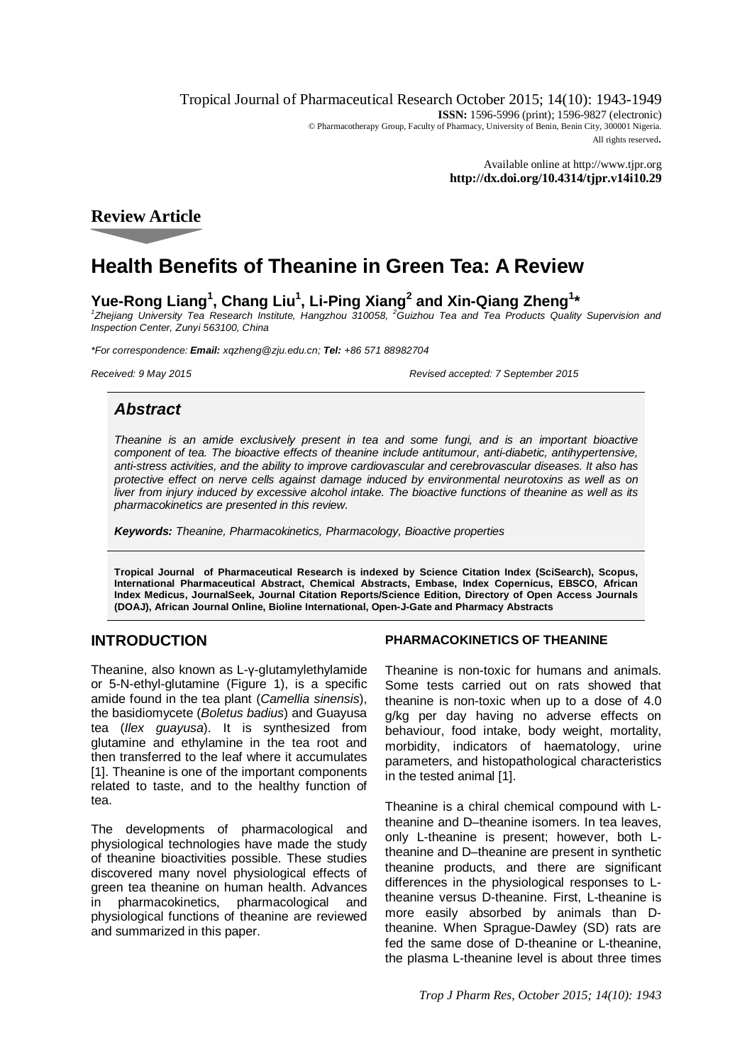Tropical Journal of Pharmaceutical Research October 2015; 14(10): 1943-1949 **ISSN:** 1596-5996 (print); 1596-9827 (electronic) © Pharmacotherapy Group, Faculty of Pharmacy, University of Benin, Benin City, 300001 Nigeria. All rights reserved.

> Available online at <http://www.tjpr.org> **<http://dx.doi.org/10.4314/tjpr.v14i10.29>**

**Review Article**

# **Health Benefits of Theanine in Green Tea: A Review**

# **Yue-Rong Liang<sup>1</sup> , Chang Liu<sup>1</sup> , Li-Ping Xiang<sup>2</sup> and Xin-Qiang Zheng<sup>1</sup> \***

<sup>1</sup> Zhejiang University Tea Research Institute, Hangzhou 310058, <sup>2</sup>Guizhou Tea and Tea Products Quality Supervision and *Inspection Center, Zunyi 563100, China*

*\*For correspondence: Email: [xqzheng@zju.edu.cn;](mailto:xqzheng@zju.edu.cn;) Tel: +86 571 88982704*

*Received: 9 May 2015 Revised accepted: 7 September 2015*

# *Abstract*

*Theanine is an amide exclusively present in tea and some fungi, and is an important bioactive*  component of tea. The bioactive effects of theanine include antitumour, anti-diabetic, antihypertensive, *anti-stress activities, and the ability to improve cardiovascular and cerebrovascular diseases. It also has protective effect on nerve cells against damage induced by environmental neurotoxins as well as on liver from injury induced by excessive alcohol intake. The bioactive functions of theanine as well as its pharmacokinetics are presented in this review.*

*Keywords: Theanine, Pharmacokinetics, Pharmacology, Bioactive properties*

**Tropical Journal of Pharmaceutical Research is indexed by Science Citation Index (SciSearch), Scopus, International Pharmaceutical Abstract, Chemical Abstracts, Embase, Index Copernicus, EBSCO, African Index Medicus, JournalSeek, Journal Citation Reports/Science Edition, Directory of Open Access Journals (DOAJ), African Journal Online, Bioline International, Open-J-Gate and Pharmacy Abstracts**

## **INTRODUCTION**

Theanine, also known as L-γ-glutamylethylamide or 5-N-ethyl-glutamine (Figure 1), is a specific amide found in the tea plant (*Camellia sinensis*), the basidiomycete (*Boletus badius*) and Guayusa tea (*Ilex guayusa*). It is synthesized from glutamine and ethylamine in the tea root and then transferred to the leaf where it accumulates [1]. Theanine is one of the important components related to taste, and to the healthy function of tea.

The developments of pharmacological and physiological technologies have made the study of theanine bioactivities possible. These studies discovered many novel physiological effects of green tea theanine on human health. Advances in pharmacokinetics, pharmacological and physiological functions of theanine are reviewed and summarized in this paper.

#### **PHARMACOKINETICS OF THEANINE**

Theanine is non-toxic for humans and animals. Some tests carried out on rats showed that theanine is non-toxic when up to a dose of 4.0 g/kg per day having no adverse effects on behaviour, food intake, body weight, mortality, morbidity, indicators of haematology, urine parameters, and histopathological characteristics in the tested animal [1].

Theanine is a chiral chemical compound with Ltheanine and D–theanine isomers. In tea leaves, only L-theanine is present; however, both Ltheanine and D–theanine are present in synthetic theanine products, and there are significant differences in the physiological responses to Ltheanine versus D-theanine. First, L-theanine is more easily absorbed by animals than Dtheanine. When Sprague-Dawley (SD) rats are fed the same dose of D-theanine or L-theanine, the plasma L-theanine level is about three times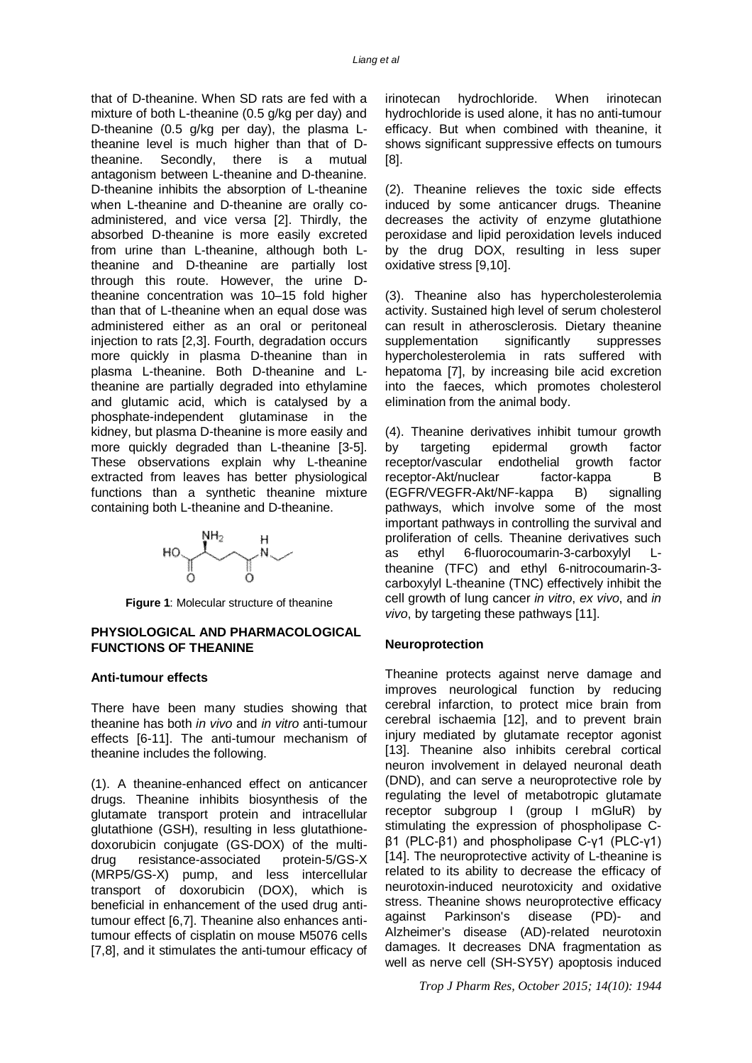that of D-theanine. When SD rats are fed with a mixture of both L-theanine (0.5 g/kg per day) and D-theanine (0.5 g/kg per day), the plasma Ltheanine level is much higher than that of Dtheanine. Secondly, there is a mutual antagonism between L-theanine and D-theanine. D-theanine inhibits the absorption of L-theanine when L-theanine and D-theanine are orally coadministered, and vice versa [2]. Thirdly, the absorbed D-theanine is more easily excreted from urine than L-theanine, although both Ltheanine and D-theanine are partially lost through this route. However, the urine Dtheanine concentration was 10–15 fold higher than that of L-theanine when an equal dose was administered either as an oral or peritoneal injection to rats [2,3]. Fourth, degradation occurs more quickly in plasma D-theanine than in plasma L-theanine. Both D-theanine and Ltheanine are partially degraded into ethylamine and glutamic acid, which is catalysed by a phosphate-independent glutaminase in the kidney, but plasma D-theanine is more easily and more quickly degraded than L-theanine [3-5]. These observations explain why L-theanine extracted from leaves has better physiological functions than a synthetic theanine mixture containing both L-theanine and D-theanine.



**Figure 1**: Molecular structure of theanine

#### **PHYSIOLOGICAL AND PHARMACOLOGICAL FUNCTIONS OF THEANINE**

#### **Anti-tumour effects**

There have been many studies showing that theanine has both *in vivo* and *in vitro* anti-tumour effects [6-11]. The anti-tumour mechanism of theanine includes the following.

(1). A theanine-enhanced effect on anticancer drugs. Theanine inhibits biosynthesis of the glutamate transport protein and intracellular glutathione (GSH), resulting in less glutathionedoxorubicin conjugate (GS-DOX) of the multi-<br>drug resistance-associated protein-5/GS-X drug resistance-associated (MRP5/GS-X) pump, and less intercellular transport of doxorubicin (DOX), which is beneficial in enhancement of the used drug antitumour effect [6,7]. Theanine also enhances antitumour effects of cisplatin on mouse M5076 cells [7,8], and it stimulates the anti-tumour efficacy of

irinotecan hydrochloride. When irinotecan hydrochloride is used alone, it has no anti-tumour efficacy. But when combined with theanine, it shows significant suppressive effects on tumours [8].

(2). Theanine relieves the toxic side effects induced by some anticancer drugs. Theanine decreases the activity of enzyme glutathione peroxidase and lipid peroxidation levels induced by the drug DOX, resulting in less super oxidative stress [9,10].

(3). Theanine also has hypercholesterolemia activity. Sustained high level of serum cholesterol can result in atherosclerosis. Dietary theanine supplementation significantly suppresses hypercholesterolemia in rats suffered with hepatoma [7], by increasing bile acid excretion into the faeces, which promotes cholesterol elimination from the animal body.

(4). Theanine derivatives inhibit tumour growth by targeting epidermal growth factor<br>receptor/vascular endothelial growth factor receptor/vascular endothelial growth receptor-Akt/nuclear factor-kappa B (EGFR/VEGFR-Akt/NF-kappa B) signalling pathways, which involve some of the most important pathways in controlling the survival and proliferation of cells. Theanine derivatives such as ethyl 6-fluorocoumarin-3-carboxylyl Ltheanine (TFC) and ethyl 6-nitrocoumarin-3 carboxylyl L-theanine (TNC) effectively inhibit the cell growth of lung cancer *in vitro*, *ex vivo*, and *in vivo*, by targeting these pathways [11].

#### **Neuroprotection**

Theanine protects against nerve damage and improves neurological function by reducing cerebral infarction, to protect mice brain from cerebral ischaemia [12], and to prevent brain injury mediated by glutamate receptor agonist [13]. Theanine also inhibits cerebral cortical neuron involvement in delayed neuronal death (DND), and can serve a neuroprotective role by regulating the level of metabotropic glutamate receptor subgroup I (group I mGluR) by stimulating the expression of phospholipase Cβ1 (PLC-β1) and phospholipase C-γ1 (PLC-γ1) [14]. The neuroprotective activity of L-theanine is related to its ability to decrease the efficacy of neurotoxin-induced neurotoxicity and oxidative stress. Theanine shows neuroprotective efficacy against Parkinson's disease (PD)- and Alzheimer's disease (AD)-related neurotoxin damages. It decreases DNA fragmentation as well as nerve cell (SH-SY5Y) apoptosis induced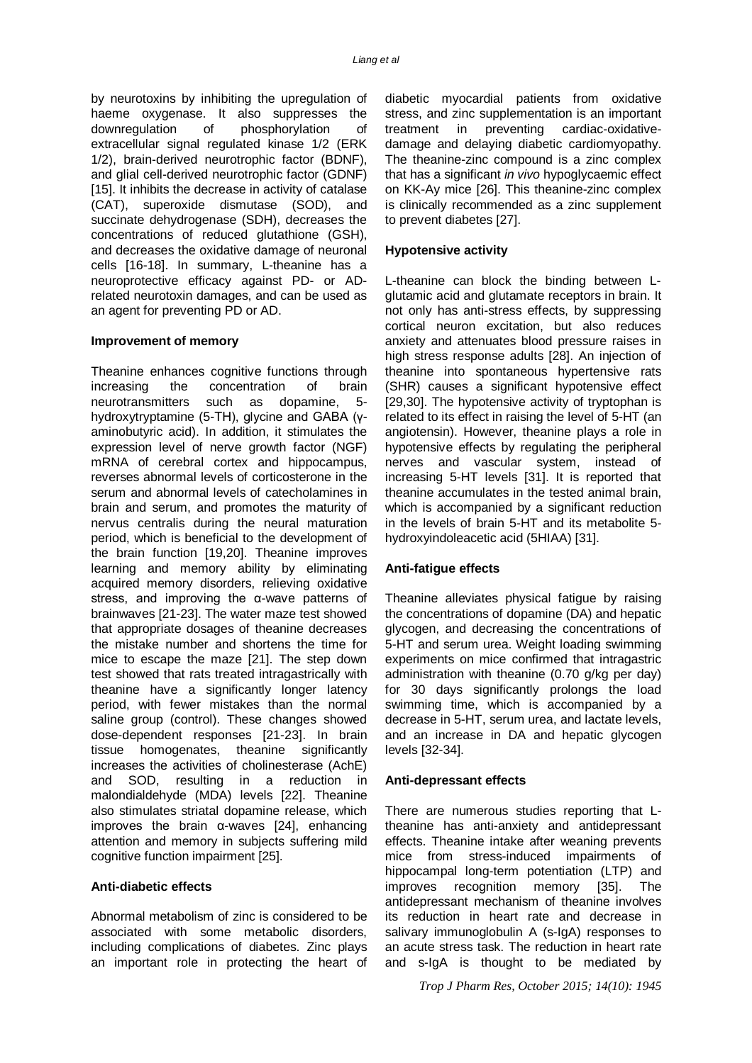by neurotoxins by inhibiting the upregulation of haeme oxygenase. It also suppresses the downregulation of phosphorylation of extracellular signal regulated kinase 1/2 (ERK 1/2), brain-derived neurotrophic factor (BDNF), and glial cell-derived neurotrophic factor (GDNF) [15]. It inhibits the decrease in activity of catalase (CAT), superoxide dismutase (SOD), and succinate dehydrogenase (SDH), decreases the concentrations of reduced glutathione (GSH), and decreases the oxidative damage of neuronal cells [16-18]. In summary, L-theanine has a neuroprotective efficacy against PD- or ADrelated neurotoxin damages, and can be used as an agent for preventing PD or AD.

#### **Improvement of memory**

Theanine enhances cognitive functions through increasing the concentration of brain neurotransmitters such as dopamine, 5 hydroxytryptamine (5-TH), glycine and GABA (γaminobutyric acid). In addition, it stimulates the expression level of nerve growth factor (NGF) mRNA of cerebral cortex and hippocampus, reverses abnormal levels of corticosterone in the serum and abnormal levels of catecholamines in brain and serum, and promotes the maturity of nervus centralis during the neural maturation period, which is beneficial to the development of the brain function [19,20]. Theanine improves learning and memory ability by eliminating acquired memory disorders, relieving oxidative stress, and improving the α-wave patterns of brainwaves [21-23]. The water maze test showed that appropriate dosages of theanine decreases the mistake number and shortens the time for mice to escape the maze [21]. The step down test showed that rats treated intragastrically with theanine have a significantly longer latency period, with fewer mistakes than the normal saline group (control). These changes showed dose-dependent responses [21-23]. In brain tissue homogenates, theanine significantly increases the activities of cholinesterase (AchE) and SOD, resulting in a reduction in malondialdehyde (MDA) levels [22]. Theanine also stimulates striatal dopamine release, which improves the brain α-waves [24], enhancing attention and memory in subjects suffering mild cognitive function impairment [25].

#### **Anti-diabetic effects**

Abnormal metabolism of zinc is considered to be associated with some metabolic disorders, including complications of diabetes. Zinc plays an important role in protecting the heart of

diabetic myocardial patients from oxidative stress, and zinc supplementation is an important treatment in preventing cardiac-oxidativedamage and delaying diabetic cardiomyopathy. The theanine-zinc compound is a zinc complex that has a significant *in vivo* hypoglycaemic effect on KK-Ay mice [26]. This theanine-zinc complex is clinically recommended as a zinc supplement to prevent diabetes [27].

#### **Hypotensive activity**

L-theanine can block the binding between Lglutamic acid and glutamate receptors in brain. It not only has anti-stress effects, by suppressing cortical neuron excitation, but also reduces anxiety and attenuates blood pressure raises in high stress response adults [28]. An injection of theanine into spontaneous hypertensive rats (SHR) causes a significant hypotensive effect [29,30]. The hypotensive activity of tryptophan is related to its effect in raising the level of 5-HT (an angiotensin). However, theanine plays a role in hypotensive effects by regulating the peripheral nerves and vascular system, instead of increasing 5-HT levels [31]. It is reported that theanine accumulates in the tested animal brain, which is accompanied by a significant reduction in the levels of brain 5-HT and its metabolite 5 hydroxyindoleacetic acid (5HIAA) [31].

#### **Anti-fatigue effects**

Theanine alleviates physical fatigue by raising the concentrations of dopamine (DA) and hepatic glycogen, and decreasing the concentrations of 5-HT and serum urea. Weight loading swimming experiments on mice confirmed that intragastric administration with theanine (0.70 g/kg per day) for 30 days significantly prolongs the load swimming time, which is accompanied by a decrease in 5-HT, serum urea, and lactate levels, and an increase in DA and hepatic glycogen levels [32-34].

#### **Anti-depressant effects**

There are numerous studies reporting that Ltheanine has anti-anxiety and antidepressant effects. Theanine intake after weaning prevents mice from stress-induced impairments of hippocampal long-term potentiation (LTP) and improves recognition memory [35]. The antidepressant mechanism of theanine involves its reduction in heart rate and decrease in salivary immunoglobulin A (s-IgA) responses to an acute stress task. The reduction in heart rate and s-IgA is thought to be mediated by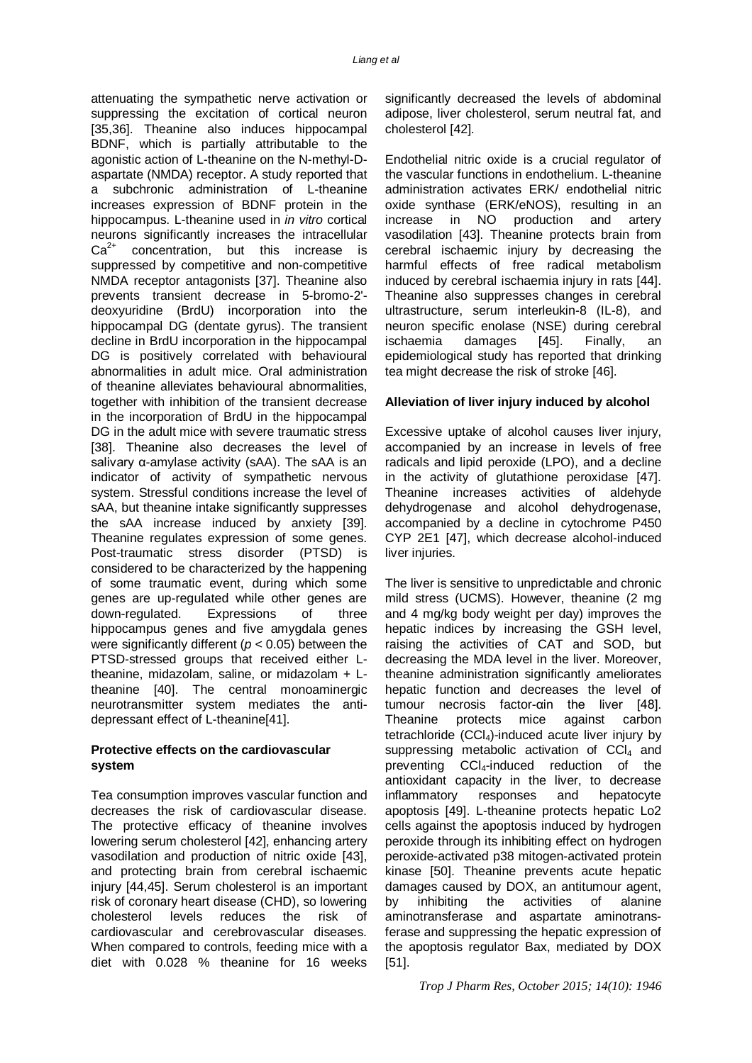attenuating the sympathetic nerve activation or suppressing the excitation of cortical neuron [35,36]. Theanine also induces hippocampal BDNF, which is partially attributable to the agonistic action of L-theanine on the N-methyl-Daspartate (NMDA) receptor. A study reported that a subchronic administration of L-theanine increases expression of BDNF protein in the hippocampus. L-theanine used in *in vitro* cortical neurons significantly increases the intracellular  $Ca<sup>2+</sup>$  concentration, but this increase is suppressed by competitive and non-competitive NMDA receptor antagonists [37]. Theanine also prevents transient decrease in 5-bromo-2' deoxyuridine (BrdU) incorporation into the hippocampal DG (dentate gyrus). The transient decline in BrdU incorporation in the hippocampal DG is positively correlated with behavioural abnormalities in adult mice. Oral administration of theanine alleviates behavioural abnormalities, together with inhibition of the transient decrease in the incorporation of BrdU in the hippocampal DG in the adult mice with severe traumatic stress [38]. Theanine also decreases the level of salivary α-amylase activity (sAA). The sAA is an indicator of activity of sympathetic nervous system. Stressful conditions increase the level of sAA, but theanine intake significantly suppresses the sAA increase induced by anxiety [39]. Theanine regulates expression of some genes. Post-traumatic stress disorder (PTSD) is considered to be characterized by the happening of some traumatic event, during which some genes are up-regulated while other genes are down-regulated. Expressions of three hippocampus genes and five amygdala genes were significantly different (*p* < 0.05) between the PTSD-stressed groups that received either Ltheanine, midazolam, saline, or midazolam + Ltheanine [40]. The central monoaminergic neurotransmitter system mediates the antidepressant effect of L-theanine[41].

#### **Protective effects on the cardiovascular system**

Tea consumption improves vascular function and decreases the risk of cardiovascular disease. The protective efficacy of theanine involves lowering serum cholesterol [42], enhancing artery vasodilation and production of nitric oxide [43], and protecting brain from cerebral ischaemic injury [44,45]. Serum cholesterol is an important risk of coronary heart disease (CHD), so lowering cholesterol levels reduces the risk of cardiovascular and cerebrovascular diseases. When compared to controls, feeding mice with a diet with 0.028 % theanine for 16 weeks

significantly decreased the levels of abdominal adipose, liver cholesterol, serum neutral fat, and cholesterol [42].

Endothelial nitric oxide is a crucial regulator of the vascular functions in endothelium. L-theanine administration activates ERK/ endothelial nitric oxide synthase (ERK/eNOS), resulting in an increase in NO production and artery vasodilation [43]. Theanine protects brain from cerebral ischaemic injury by decreasing the harmful effects of free radical metabolism induced by cerebral ischaemia injury in rats [44]. Theanine also suppresses changes in cerebral ultrastructure, serum interleukin-8 (IL-8), and neuron specific enolase (NSE) during cerebral ischaemia damages [45]. Finally, an epidemiological study has reported that drinking tea might decrease the risk of stroke [46].

#### **Alleviation of liver injury induced by alcohol**

Excessive uptake of alcohol causes liver injury, accompanied by an increase in levels of free radicals and lipid peroxide (LPO), and a decline in the activity of glutathione peroxidase [47]. Theanine increases activities of aldehyde dehydrogenase and alcohol dehydrogenase, accompanied by a decline in cytochrome P450 CYP 2E1 [47], which decrease alcohol-induced liver injuries.

The liver is sensitive to unpredictable and chronic mild stress (UCMS). However, theanine (2 mg and 4 mg/kg body weight per day) improves the hepatic indices by increasing the GSH level, raising the activities of CAT and SOD, but decreasing the MDA level in the liver. Moreover, theanine administration significantly ameliorates hepatic function and decreases the level of tumour necrosis factor-αin the liver [48]. Theanine protects mice against carbon tetrachloride  $(CCl<sub>4</sub>)$ -induced acute liver injury by suppressing metabolic activation of  $CCl<sub>4</sub>$  and preventing CCl4-induced reduction of the antioxidant capacity in the liver, to decrease inflammatory responses and hepatocyte apoptosis [49]. L-theanine protects hepatic Lo2 cells against the apoptosis induced by hydrogen peroxide through its inhibiting effect on hydrogen peroxide-activated p38 mitogen-activated protein kinase [50]. Theanine prevents acute hepatic damages caused by DOX, an antitumour agent, by inhibiting the activities of alanine aminotransferase and aspartate aminotransferase and suppressing the hepatic expression of the apoptosis regulator Bax, mediated by DOX [51].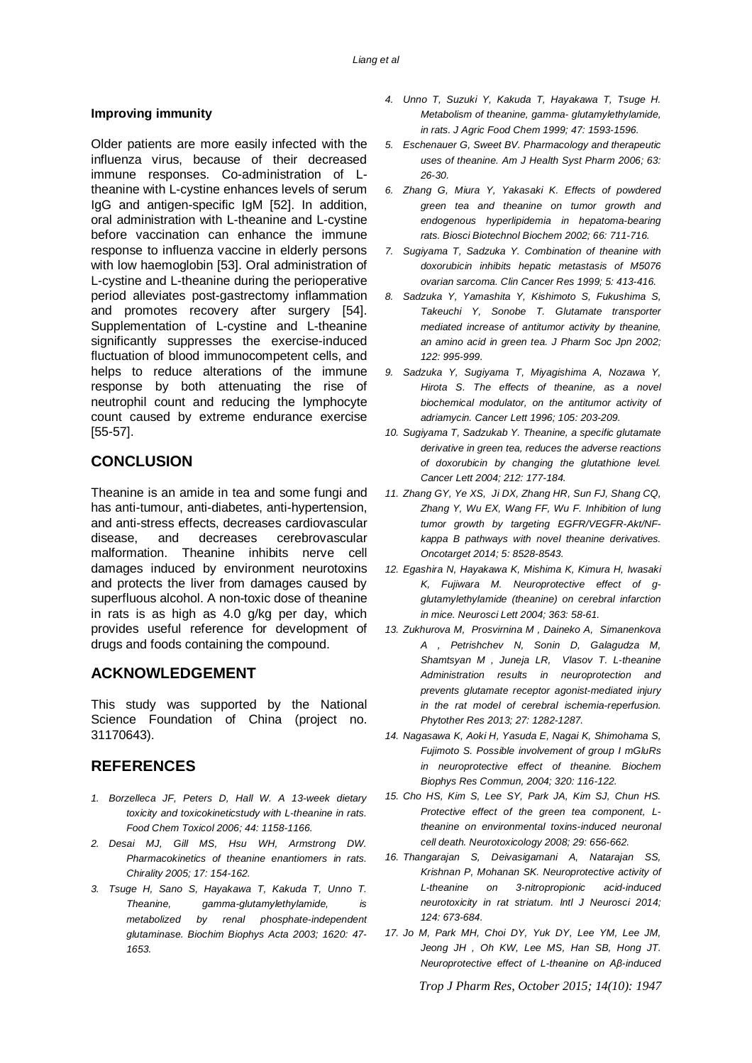#### **Improving immunity**

Older patients are more easily infected with the influenza virus, because of their decreased immune responses. Co-administration of Ltheanine with L-cystine enhances levels of serum IgG and antigen-specific IgM [52]. In addition, oral administration with L-theanine and L-cystine before vaccination can enhance the immune response to influenza vaccine in elderly persons with low haemoglobin [53]. Oral administration of L-cystine and L-theanine during the perioperative period alleviates post-gastrectomy inflammation and promotes recovery after surgery [54]. Supplementation of L-cystine and L-theanine significantly suppresses the exercise-induced fluctuation of blood immunocompetent cells, and helps to reduce alterations of the immune response by both attenuating the rise of neutrophil count and reducing the lymphocyte count caused by extreme endurance exercise [55-57].

# **CONCLUSION**

Theanine is an amide in tea and some fungi and has anti-tumour, anti-diabetes, anti-hypertension, and anti-stress effects, decreases cardiovascular disease, and decreases cerebrovascular malformation. Theanine inhibits nerve cell damages induced by environment neurotoxins and protects the liver from damages caused by superfluous alcohol. A non-toxic dose of theanine in rats is as high as 4.0 g/kg per day, which provides useful reference for development of drugs and foods containing the compound.

## **ACKNOWLEDGEMENT**

This study was supported by the National Science Foundation of China (project no. 31170643).

## **REFERENCES**

- *1. Borzelleca JF, Peters D, Hall W. A 13-week dietary toxicity and toxicokineticstudy with L-theanine in rats. Food Chem Toxicol 2006; 44: 1158-1166.*
- *2. Desai MJ, Gill MS, Hsu WH, Armstrong DW. Pharmacokinetics of theanine enantiomers in rats. Chirality 2005; 17: 154-162.*
- *3. Tsuge H, Sano S, Hayakawa T, Kakuda T, Unno T. Theanine, gamma-glutamylethylamide, is metabolized by renal phosphate-independent glutaminase. Biochim Biophys Acta 2003; 1620: 47- 1653.*
- *4. Unno T, Suzuki Y, Kakuda T, Hayakawa T, Tsuge H. Metabolism of theanine, gamma- glutamylethylamide, in rats. J Agric Food Chem 1999; 47: 1593-1596.*
- *5. Eschenauer G, Sweet BV. Pharmacology and therapeutic uses of theanine. Am J Health Syst Pharm 2006; 63: 26-30.*
- *6. Zhang G, Miura Y, Yakasaki K. Effects of powdered green tea and theanine on tumor growth and endogenous hyperlipidemia in hepatoma-bearing rats. Biosci Biotechnol Biochem 2002; 66: 711-716.*
- *7. Sugiyama T, Sadzuka Y. Combination of theanine with doxorubicin inhibits hepatic metastasis of M5076 ovarian sarcoma. Clin Cancer Res 1999; 5: 413-416.*
- *8. Sadzuka Y, Yamashita Y, Kishimoto S, Fukushima S, Takeuchi Y, Sonobe T. Glutamate transporter mediated increase of antitumor activity by theanine, an amino acid in green tea. J Pharm Soc Jpn 2002; 122: 995-999.*
- *9. Sadzuka Y, Sugiyama T, Miyagishima A, Nozawa Y, Hirota S. The effects of theanine, as a novel biochemical modulator, on the antitumor activity of adriamycin. Cancer Lett 1996; 105: 203-209.*
- *10. Sugiyama T, Sadzukab Y. Theanine, a specific glutamate derivative in green tea, reduces the adverse reactions of doxorubicin by changing the glutathione level. Cancer Lett 2004; 212: 177-184.*
- *11. Zhang GY, Ye XS, Ji DX, Zhang HR, Sun FJ, Shang CQ, Zhang Y, Wu EX, Wang FF, Wu F. Inhibition of lung tumor growth by targeting EGFR/VEGFR-Akt/NFkappa B pathways with novel theanine derivatives. Oncotarget 2014; 5: 8528-8543.*
- *12. Egashira N, Hayakawa K, Mishima K, Kimura H, Iwasaki K, Fujiwara M. Neuroprotective effect of gglutamylethylamide (theanine) on cerebral infarction in mice. Neurosci Lett 2004; 363: 58-61.*
- *13. Zukhurova M, Prosvirnina M , Daineko A, Simanenkova A , Petrishchev N, Sonin D, Galagudza M, Shamtsyan M , Juneja LR, Vlasov T. L-theanine Administration results in neuroprotection and prevents glutamate receptor agonist-mediated injury in the rat model of cerebral ischemia-reperfusion. Phytother Res 2013; 27: 1282-1287.*
- *14. Nagasawa K, Aoki H, Yasuda E, Nagai K, Shimohama S, Fujimoto S. Possible involvement of group I mGluRs in neuroprotective effect of theanine. Biochem Biophys Res Commun, 2004; 320: 116-122.*
- *15. Cho HS, Kim S, Lee SY, Park JA, Kim SJ, Chun HS. Protective effect of the green tea component, Ltheanine on environmental toxins-induced neuronal cell death. Neurotoxicology 2008; 29: 656-662.*
- *16. Thangarajan S, Deivasigamani A, Natarajan SS, Krishnan P, Mohanan SK. Neuroprotective activity of L-theanine on 3-nitropropionic acid-induced neurotoxicity in rat striatum. Intl J Neurosci 2014; 124: 673-684.*
- *17. Jo M, Park MH, Choi DY, Yuk DY, Lee YM, Lee JM, Jeong JH , Oh KW, Lee MS, Han SB, Hong JT. Neuroprotective effect of L-theanine on Aβ-induced*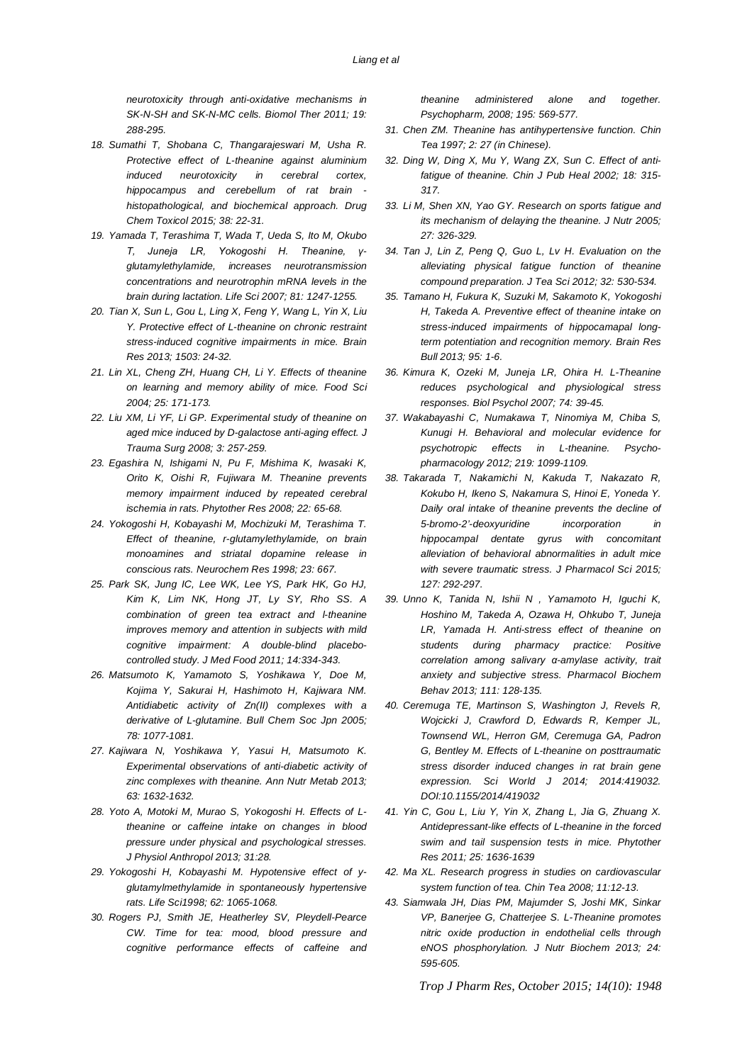*neurotoxicity through anti-oxidative mechanisms in SK-N-SH and SK-N-MC cells. Biomol Ther 2011; 19: 288-295.*

- *18. Sumathi T, Shobana C, Thangarajeswari M, Usha R. Protective effect of L-theanine against aluminium induced neurotoxicity in cerebral cortex, hippocampus and cerebellum of rat brain histopathological, and biochemical approach. Drug Chem Toxicol 2015; 38: 22-31.*
- *19. Yamada T, Terashima T, Wada T, Ueda S, Ito M, Okubo T, Juneja LR, Yokogoshi H. Theanine, γglutamylethylamide, increases neurotransmission concentrations and neurotrophin mRNA levels in the brain during lactation. Life Sci 2007; 81: 1247-1255.*
- *20. Tian X, Sun L, Gou L, Ling X, Feng Y, Wang L, Yin X, Liu Y. Protective effect of L-theanine on chronic restraint stress-induced cognitive impairments in mice. Brain Res 2013; 1503: 24-32.*
- *21. Lin XL, Cheng ZH, Huang CH, Li Y. Effects of theanine on learning and memory ability of mice. Food Sci 2004; 25: 171-173.*
- *22. Liu XM, Li YF, Li GP. Experimental study of theanine on aged mice induced by D-galactose anti-aging effect. J Trauma Surg 2008; 3: 257-259.*
- *23. Egashira N, Ishigami N, Pu F, Mishima K, Iwasaki K, Orito K, Oishi R, Fujiwara M. Theanine prevents memory impairment induced by repeated cerebral ischemia in rats. Phytother Res 2008; 22: 65-68.*
- *24. Yokogoshi H, Kobayashi M, Mochizuki M, Terashima T. Effect of theanine, r-glutamylethylamide, on brain monoamines and striatal dopamine release in conscious rats. Neurochem Res 1998; 23: 667.*
- *25. Park SK, Jung IC, Lee WK, Lee YS, Park HK, Go HJ, Kim K, Lim NK, Hong JT, Ly SY, Rho SS. A combination of green tea extract and l-theanine improves memory and attention in subjects with mild cognitive impairment: A double-blind placebocontrolled study. J Med Food 2011; 14:334-343.*
- *26. Matsumoto K, Yamamoto S, Yoshikawa Y, Doe M, Kojima Y, Sakurai H, Hashimoto H, Kajiwara NM. Antidiabetic activity of Zn(II) complexes with a derivative of L-glutamine. Bull Chem Soc Jpn 2005; 78: 1077-1081.*
- *27. Kajiwara N, Yoshikawa Y, Yasui H, Matsumoto K. Experimental observations of anti-diabetic activity of zinc complexes with theanine. Ann Nutr Metab 2013; 63: 1632-1632.*
- *28. Yoto A, Motoki M, Murao S, Yokogoshi H. Effects of Ltheanine or caffeine intake on changes in blood pressure under physical and psychological stresses. J Physiol Anthropol 2013; 31:28.*
- *29. Yokogoshi H, Kobayashi M. Hypotensive effect of yglutamylmethylamide in spontaneously hypertensive rats. Life Sci1998; 62: 1065-1068.*
- *30. Rogers PJ, Smith JE, Heatherley SV, Pleydell-Pearce CW. Time for tea: mood, blood pressure and cognitive performance effects of caffeine and*

*theanine administered alone and together. Psychopharm, 2008; 195: 569-577.*

- *31. Chen ZM. Theanine has antihypertensive function. Chin Tea 1997; 2: 27 (in Chinese).*
- *32. Ding W, Ding X, Mu Y, Wang ZX, Sun C. Effect of antifatigue of theanine. Chin J Pub Heal 2002; 18: 315- 317.*
- *33. Li M, Shen XN, Yao GY. Research on sports fatigue and its mechanism of delaying the theanine. J Nutr 2005; 27: 326-329.*
- *34. Tan J, Lin Z, Peng Q, Guo L, Lv H. Evaluation on the alleviating physical fatigue function of theanine compound preparation. J Tea Sci 2012; 32: 530-534.*
- *35. Tamano H, Fukura K, Suzuki M, Sakamoto K, Yokogoshi H, Takeda A. Preventive effect of theanine intake on stress-induced impairments of hippocamapal longterm potentiation and recognition memory. Brain Res Bull 2013; 95: 1-6.*
- *36. Kimura K, Ozeki M, Juneja LR, Ohira H. L-Theanine reduces psychological and physiological stress responses. Biol Psychol 2007; 74: 39-45.*
- *37. Wakabayashi C, Numakawa T, Ninomiya M, Chiba S, Kunugi H. Behavioral and molecular evidence for psychotropic effects in L-theanine. Psychopharmacology 2012; 219: 1099-1109.*
- *38. Takarada T, Nakamichi N, Kakuda T, Nakazato R, Kokubo H, Ikeno S, Nakamura S, Hinoi E, Yoneda Y. Daily oral intake of theanine prevents the decline of 5-bromo-2'-deoxyuridine incorporation in hippocampal dentate gyrus with concomitant alleviation of behavioral abnormalities in adult mice with severe traumatic stress. J Pharmacol Sci 2015; 127: 292-297.*
- *39. Unno K, Tanida N, Ishii N , Yamamoto H, Iguchi K, Hoshino M, Takeda A, Ozawa H, Ohkubo T, Juneja LR, Yamada H. Anti-stress effect of theanine on students during pharmacy practice: Positive correlation among salivary α-amylase activity, trait anxiety and subjective stress. Pharmacol Biochem Behav 2013; 111: 128-135.*
- *40. Ceremuga TE, Martinson S, Washington J, Revels R, Wojcicki J, Crawford D, Edwards R, Kemper JL, Townsend WL, Herron GM, Ceremuga GA, Padron G, Bentley M. Effects of L-theanine on posttraumatic stress disorder induced changes in rat brain gene expression. Sci World J 2014; 2014:419032. DOI:10.1155/2014/419032*
- *41. Yin C, Gou L, Liu Y, Yin X, Zhang L, Jia G, Zhuang X. Antidepressant-like effects of L-theanine in the forced swim and tail suspension tests in mice. Phytother Res 2011; 25: 1636-1639*
- *42. Ma XL. Research progress in studies on cardiovascular system function of tea. Chin Tea 2008; 11:12-13.*
- *43. Siamwala JH, Dias PM, Majumder S, Joshi MK, Sinkar VP, Banerjee G, Chatterjee S. L-Theanine promotes nitric oxide production in endothelial cells through eNOS phosphorylation. J Nutr Biochem 2013; 24: 595-605.*